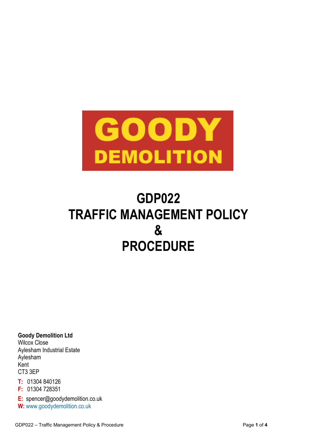

# **GDP022 TRAFFIC MANAGEMENT POLICY & PROCEDURE**

**Goody Demolition Ltd** Wilcox Close Aylesham Industrial Estate Aylesham Kent CT3 3EP

- **T:** 01304 840126
- **F:** 01304 728351
- **E:** spencer@goodydemolition.co.uk

**W:** www.goodydemolition.co.uk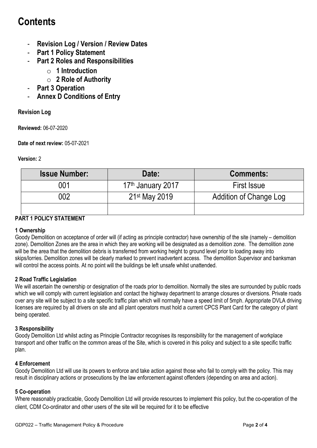# **Contents**

- **Revision Log / Version / Review Dates**
- **Part 1 Policy Statement**
- **Part 2 Roles and Responsibilities** 
	- o **1 Introduction**
	- o **2 Role of Authority**
- **Part 3 Operation**
- **Annex D Conditions of Entry**

# **Revision Log**

**Reviewed:** 06-07-2020

**Date of next review:** 05-07-2021

#### **Version:** 2

| <b>Issue Number:</b> | Date:                         | <b>Comments:</b>              |
|----------------------|-------------------------------|-------------------------------|
| 001                  | 17 <sup>th</sup> January 2017 | <b>First Issue</b>            |
| 002                  | 21 <sup>st</sup> May 2019     | <b>Addition of Change Log</b> |
|                      |                               |                               |

# **PART 1 POLICY STATEMENT**

# **1 Ownership**

Goody Demolition on acceptance of order will (if acting as principle contractor) have ownership of the site (namely – demolition zone). Demolition Zones are the area in which they are working will be designated as a demolition zone. The demolition zone will be the area that the demolition debris is transferred from working height to ground level prior to loading away into skips/lorries. Demolition zones will be clearly marked to prevent inadvertent access. The demolition Supervisor and banksman will control the access points. At no point will the buildings be left unsafe whilst unattended.

# **2 Road Traffic Legislation**

We will ascertain the ownership or designation of the roads prior to demolition. Normally the sites are surrounded by public roads which we will comply with current legislation and contact the highway department to arrange closures or diversions. Private roads over any site will be subject to a site specific traffic plan which will normally have a speed limit of 5mph. Appropriate DVLA driving licenses are required by all drivers on site and all plant operators must hold a current CPCS Plant Card for the category of plant being operated.

# **3 Responsibility**

Goody Demolition Ltd whilst acting as Principle Contractor recognises its responsibility for the management of workplace transport and other traffic on the common areas of the Site, which is covered in this policy and subject to a site specific traffic plan.

# **4 Enforcement**

Goody Demolition Ltd will use its powers to enforce and take action against those who fail to comply with the policy. This may result in disciplinary actions or prosecutions by the law enforcement against offenders (depending on area and action).

# **5 Co-operation**

Where reasonably practicable, Goody Demolition Ltd will provide resources to implement this policy, but the co-operation of the client, CDM Co-ordinator and other users of the site will be required for it to be effective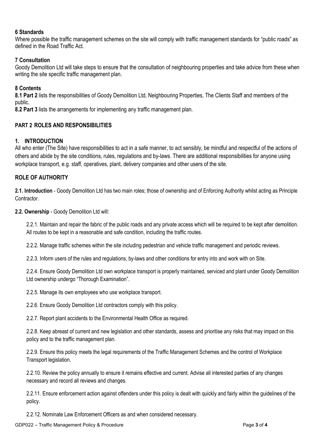#### **6 Standards**

Where possible the traffic management schemes on the site will comply with traffic management standards for "public roads" as defined in the Road Traffic Act.

### **7 Consultation**

Goody Demolition Ltd will take steps to ensure that the consultation of neighbouring properties and take advice from these when writing the site specific traffic management plan.

#### **8 Contents**

**8.1 Part 2** lists the responsibilities of Goody Demolition Ltd, Neighbouring Properties, The Clients Staff and members of the public.

**8.2 Part 3** lists the arrangements for implementing any traffic management plan.

#### **PART 2 ROLES AND RESPONSIBILITIES**

#### **1. INTRODUCTION**

All who enter (The Site) have responsibilities to act in a safe manner, to act sensibly, be mindful and respectful of the actions of others and abide by the site conditions, rules, regulations and by-laws. There are additional responsibilities for anyone using workplace transport, e.g. staff, operatives, plant, delivery companies and other users of the site.

#### **ROLE OF AUTHORITY**

**2.1. Introduction** - Goody Demolition Ltd has two main roles; those of ownership and of Enforcing Authority whilst acting as Principle Contractor.

**2.2. Ownership** - Goody Demolition Ltd will:

2.2.1. Maintain and repair the fabric of the public roads and any private access which will be required to be kept after demolition. All routes to be kept in a reasonable and safe condition, including the traffic routes.

2.2.2. Manage traffic schemes within the site including pedestrian and vehicle traffic management and periodic reviews.

2.2.3. Inform users of the rules and regulations, by-laws and other conditions for entry into and work with on Site.

2.2.4. Ensure Goody Demolition Ltd own workplace transport is properly maintained, serviced and plant under Goody Demolition Ltd ownership undergo "Thorough Examination".

2.2.5. Manage its own employees who use workplace transport.

2.2.6. Ensure Goody Demolition Ltd contractors comply with this policy.

2.2.7. Report plant accidents to the Environmental Health Office as required.

2.2.8. Keep abreast of current and new legislation and other standards, assess and prioritise any risks that may impact on this policy and to the traffic management plan.

2.2.9. Ensure this policy meets the legal requirements of the Traffic Management Schemes and the control of Workplace Transport legislation.

2.2.10. Review the policy annually to ensure it remains effective and current. Advise all interested parties of any changes necessary and record all reviews and changes.

2.2.11. Ensure enforcement action against offenders under this policy is dealt with quickly and fairly within the guidelines of the policy.

2.2.12. Nominate Law Enforcement Officers as and when considered necessary.